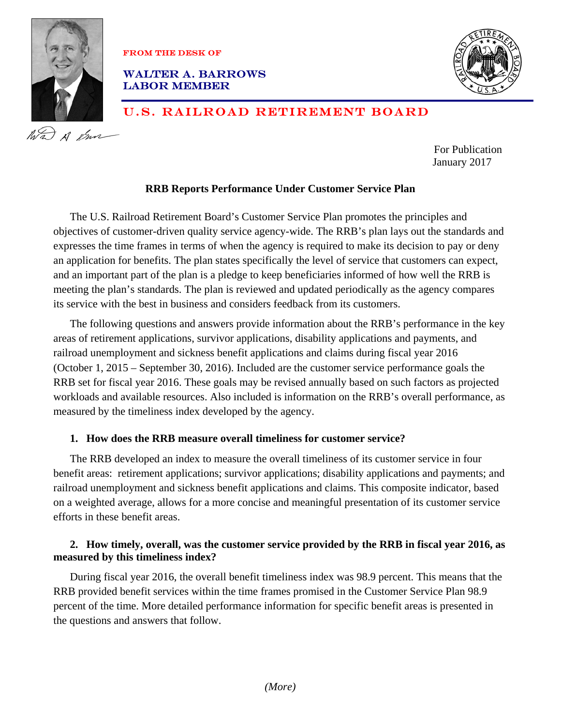

FROM THEDESK OF

## Walter A. BARROWS LABOR MEMBER



# U.S. RAILROAD RETIREMENT BOARD

For Publication January 2017

# **RRB Reports Performance Under Customer Service Plan**

The U.S. Railroad Retirement Board's Customer Service Plan promotes the principles and objectives of customer-driven quality service agency-wide. The RRB's plan lays out the standards and expresses the time frames in terms of when the agency is required to make its decision to pay or deny an application for benefits. The plan states specifically the level of service that customers can expect, and an important part of the plan is a pledge to keep beneficiaries informed of how well the RRB is meeting the plan's standards. The plan is reviewed and updated periodically as the agency compares its service with the best in business and considers feedback from its customers.

The following questions and answers provide information about the RRB's performance in the key areas of retirement applications, survivor applications, disability applications and payments, and railroad unemployment and sickness benefit applications and claims during fiscal year 2016 (October 1, 2015 – September 30, 2016). Included are the customer service performance goals the RRB set for fiscal year 2016. These goals may be revised annually based on such factors as projected workloads and available resources. Also included is information on the RRB's overall performance, as measured by the timeliness index developed by the agency.

# **1. How does the RRB measure overall timeliness for customer service?**

The RRB developed an index to measure the overall timeliness of its customer service in four benefit areas: retirement applications; survivor applications; disability applications and payments; and railroad unemployment and sickness benefit applications and claims. This composite indicator, based on a weighted average, allows for a more concise and meaningful presentation of its customer service efforts in these benefit areas.

# **2. How timely, overall, was the customer service provided by the RRB in fiscal year 2016, as measured by this timeliness index?**

During fiscal year 2016, the overall benefit timeliness index was 98.9 percent. This means that the RRB provided benefit services within the time frames promised in the Customer Service Plan 98.9 percent of the time. More detailed performance information for specific benefit areas is presented in the questions and answers that follow.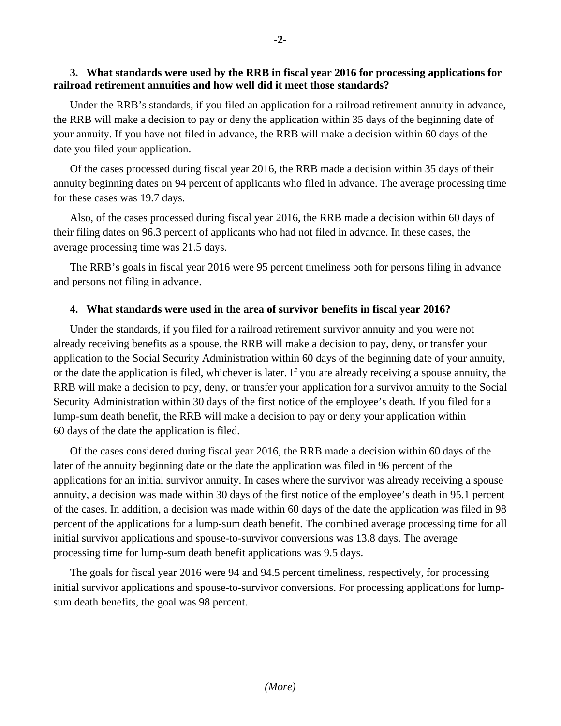#### **3. What standards were used by the RRB in fiscal year 2016 for processing applications for railroad retirement annuities and how well did it meet those standards?**

Under the RRB's standards, if you filed an application for a railroad retirement annuity in advance, the RRB will make a decision to pay or deny the application within 35 days of the beginning date of your annuity. If you have not filed in advance, the RRB will make a decision within 60 days of the date you filed your application.

Of the cases processed during fiscal year 2016, the RRB made a decision within 35 days of their annuity beginning dates on 94 percent of applicants who filed in advance. The average processing time for these cases was 19.7 days.

Also, of the cases processed during fiscal year 2016, the RRB made a decision within 60 days of their filing dates on 96.3 percent of applicants who had not filed in advance. In these cases, the average processing time was 21.5 days.

The RRB's goals in fiscal year 2016 were 95 percent timeliness both for persons filing in advance and persons not filing in advance.

## **4. What standards were used in the area of survivor benefits in fiscal year 2016?**

Under the standards, if you filed for a railroad retirement survivor annuity and you were not already receiving benefits as a spouse, the RRB will make a decision to pay, deny, or transfer your application to the Social Security Administration within 60 days of the beginning date of your annuity, or the date the application is filed, whichever is later. If you are already receiving a spouse annuity, the RRB will make a decision to pay, deny, or transfer your application for a survivor annuity to the Social Security Administration within 30 days of the first notice of the employee's death. If you filed for a lump-sum death benefit, the RRB will make a decision to pay or deny your application within 60 days of the date the application is filed.

Of the cases considered during fiscal year 2016, the RRB made a decision within 60 days of the later of the annuity beginning date or the date the application was filed in 96 percent of the applications for an initial survivor annuity. In cases where the survivor was already receiving a spouse annuity, a decision was made within 30 days of the first notice of the employee's death in 95.1 percent of the cases. In addition, a decision was made within 60 days of the date the application was filed in 98 percent of the applications for a lump-sum death benefit. The combined average processing time for all initial survivor applications and spouse-to-survivor conversions was 13.8 days. The average processing time for lump-sum death benefit applications was 9.5 days.

The goals for fiscal year 2016 were 94 and 94.5 percent timeliness, respectively, for processing initial survivor applications and spouse-to-survivor conversions. For processing applications for lumpsum death benefits, the goal was 98 percent.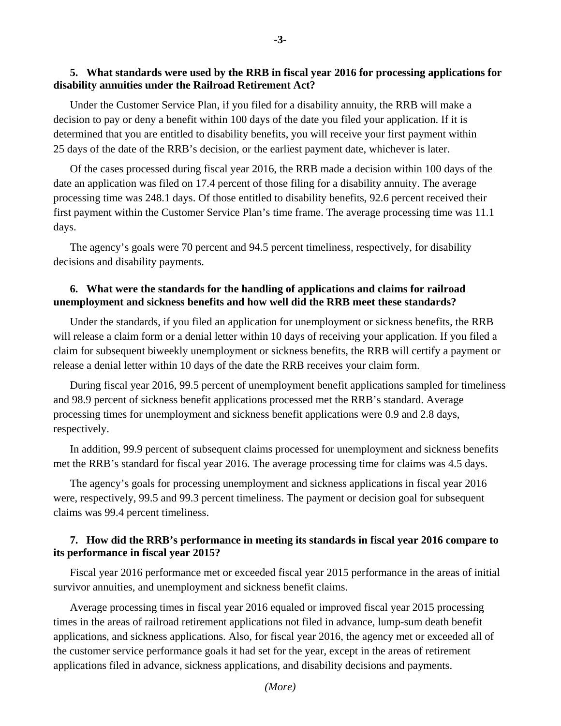#### **5. What standards were used by the RRB in fiscal year 2016 for processing applications for disability annuities under the Railroad Retirement Act?**

Under the Customer Service Plan, if you filed for a disability annuity, the RRB will make a decision to pay or deny a benefit within 100 days of the date you filed your application. If it is determined that you are entitled to disability benefits, you will receive your first payment within 25 days of the date of the RRB's decision, or the earliest payment date, whichever is later.

Of the cases processed during fiscal year 2016, the RRB made a decision within 100 days of the date an application was filed on 17.4 percent of those filing for a disability annuity. The average processing time was 248.1 days. Of those entitled to disability benefits, 92.6 percent received their first payment within the Customer Service Plan's time frame. The average processing time was 11.1 days.

The agency's goals were 70 percent and 94.5 percent timeliness, respectively, for disability decisions and disability payments.

#### **6. What were the standards for the handling of applications and claims for railroad unemployment and sickness benefits and how well did the RRB meet these standards?**

Under the standards, if you filed an application for unemployment or sickness benefits, the RRB will release a claim form or a denial letter within 10 days of receiving your application. If you filed a claim for subsequent biweekly unemployment or sickness benefits, the RRB will certify a payment or release a denial letter within 10 days of the date the RRB receives your claim form.

During fiscal year 2016, 99.5 percent of unemployment benefit applications sampled for timeliness and 98.9 percent of sickness benefit applications processed met the RRB's standard. Average processing times for unemployment and sickness benefit applications were 0.9 and 2.8 days, respectively.

In addition, 99.9 percent of subsequent claims processed for unemployment and sickness benefits met the RRB's standard for fiscal year 2016. The average processing time for claims was 4.5 days.

The agency's goals for processing unemployment and sickness applications in fiscal year 2016 were, respectively, 99.5 and 99.3 percent timeliness. The payment or decision goal for subsequent claims was 99.4 percent timeliness.

#### **7. How did the RRB's performance in meeting its standards in fiscal year 2016 compare to its performance in fiscal year 2015?**

Fiscal year 2016 performance met or exceeded fiscal year 2015 performance in the areas of initial survivor annuities, and unemployment and sickness benefit claims.

Average processing times in fiscal year 2016 equaled or improved fiscal year 2015 processing times in the areas of railroad retirement applications not filed in advance, lump-sum death benefit applications, and sickness applications. Also, for fiscal year 2016, the agency met or exceeded all of the customer service performance goals it had set for the year, except in the areas of retirement applications filed in advance, sickness applications, and disability decisions and payments.